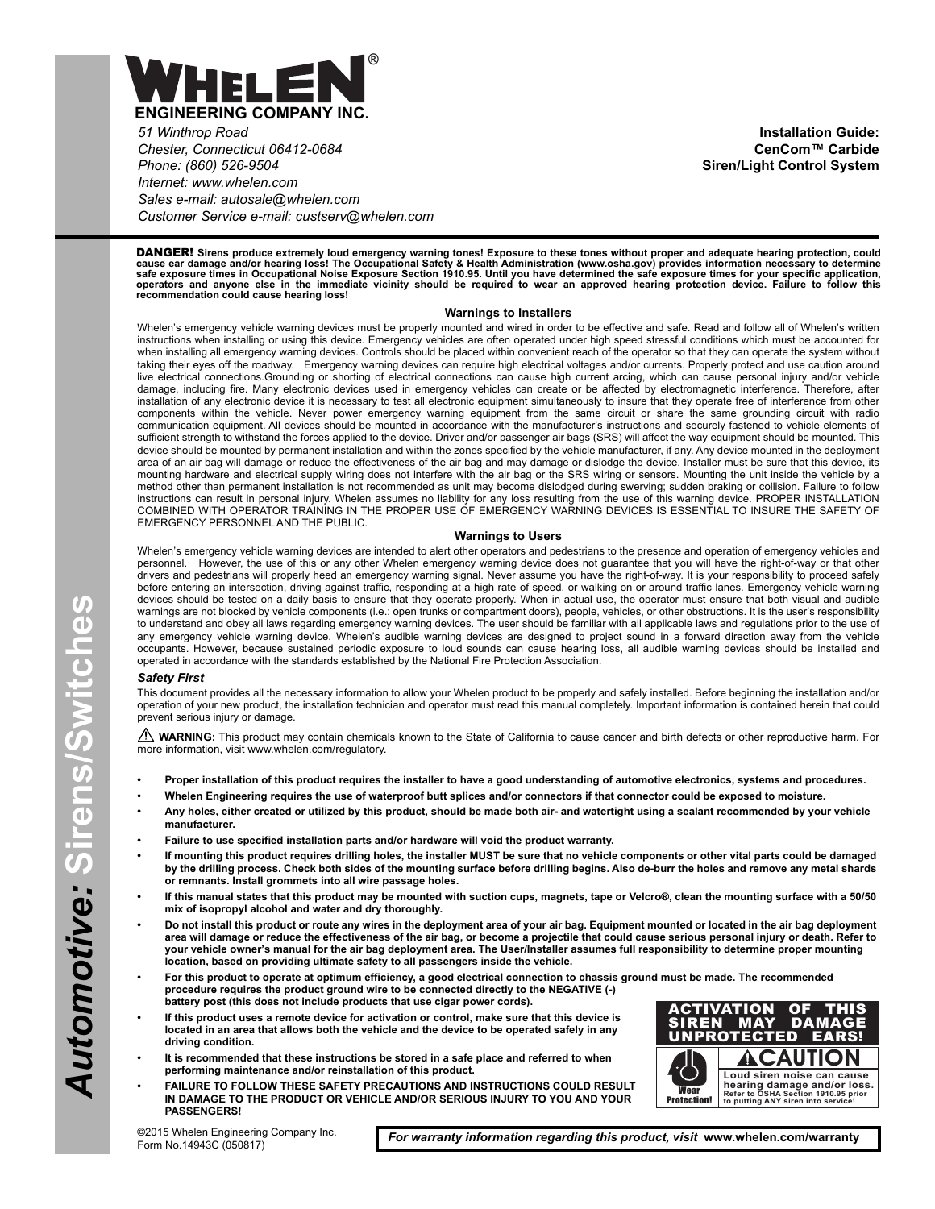

*51 Winthrop Road Chester, Connecticut 06412-0684 Phone: (860) 526-9504 Internet: www.whelen.com Sales e-mail: autosale@whelen.com Customer Service e-mail: custserv@whelen.com*

**Installation Guide: CenCom™ Carbide Siren/Light Control System**

DANGER! **Sirens produce extremely loud emergency warning tones! Exposure to these tones without proper and adequate hearing protection, could** cause ear damage and/or hearing loss! The Occupational Safety & Health Administration (www.osha.gov) provides information necessary to determine<br>safe exposure times in Occupational Noise Exposure Section 1910.95. Until you

### **Warnings to Installers**

Whelen's emergency vehicle warning devices must be properly mounted and wired in order to be effective and safe. Read and follow all of Whelen's written instructions when installing or using this device. Emergency vehicles are often operated under high speed stressful conditions which must be accounted for when installing all emergency warning devices. Controls should be placed within convenient reach of the operator so that they can operate the system without taking their eyes off the roadway. Emergency warning devices can require high electrical voltages and/or currents. Properly protect and use caution around live electrical connections.Grounding or shorting of electrical connections can cause high current arcing, which can cause personal injury and/or vehicle damage, including fire. Many electronic devices used in emergency vehicles can create or be affected by electromagnetic interference. Therefore, after installation of any electronic device it is necessary to test all electronic equipment simultaneously to insure that they operate free of interference from other components within the vehicle. Never power emergency warning equipment from the same circuit or share the same grounding circuit with radio communication equipment. All devices should be mounted in accordance with the manufacturer's instructions and securely fastened to vehicle elements of sufficient strength to withstand the forces applied to the device. Driver and/or passenger air bags (SRS) will affect the way equipment should be mounted. This device should be mounted by permanent installation and within the zones specified by the vehicle manufacturer, if any. Any device mounted in the deployment area of an air bag will damage or reduce the effectiveness of the air bag and may damage or dislodge the device. Installer must be sure that this device, its mounting hardware and electrical supply wiring does not interfere with the air bag or the SRS wiring or sensors. Mounting the unit inside the vehicle by a method other than permanent installation is not recommended as unit may become dislodged during swerving; sudden braking or collision. Failure to follow instructions can result in personal injury. Whelen assumes no liability for any loss resulting from the use of this warning device. PROPER INSTALLATION COMBINED WITH OPERATOR TRAINING IN THE PROPER USE OF EMERGENCY WARNING DEVICES IS ESSENTIAL TO INSURE THE SAFETY OF EMERGENCY PERSONNEL AND THE PUBLIC.

### **Warnings to Users**

Whelen's emergency vehicle warning devices are intended to alert other operators and pedestrians to the presence and operation of emergency vehicles and<br>personnel. However, the use of this or any other Whelen emergency war However, the use of this or any other Whelen emergency warning device does not guarantee that you will have the right-of-way or that other drivers and pedestrians will properly heed an emergency warning signal. Never assume you have the right-of-way. It is your responsibility to proceed safely before entering an intersection, driving against traffic, responding at a high rate of speed, or walking on or around traffic lanes. Emergency vehicle warning devices should be tested on a daily basis to ensure that they operate properly. When in actual use, the operator must ensure that both visual and audible warnings are not blocked by vehicle components (i.e.: open trunks or compartment doors), people, vehicles, or other obstructions. It is the user's responsibility to understand and obey all laws regarding emergency warning devices. The user should be familiar with all applicable laws and regulations prior to the use of any emergency vehicle warning device. Whelen's audible warning devices are designed to project sound in a forward direction away from the vehicle occupants. However, because sustained periodic exposure to loud sounds can cause hearing loss, all audible warning devices should be installed and operated in accordance with the standards established by the National Fire Protection Association.

### *Safety First*

This document provides all the necessary information to allow your Whelen product to be properly and safely installed. Before beginning the installation and/or operation of your new product, the installation technician and operator must read this manual completely. Important information is contained herein that could prevent serious injury or damage.

**A WARNING:** This product may contain chemicals known to the State of California to cause cancer and birth defects or other reproductive harm. For more information, visit www.whelen.com/regulatory.

- **Proper installation of this product requires the installer to have a good understanding of automotive electronics, systems and procedures.**
- **Whelen Engineering requires the use of waterproof butt splices and/or connectors if that connector could be exposed to moisture.**
- **Any holes, either created or utilized by this product, should be made both air- and watertight using a sealant recommended by your vehicle manufacturer.**
- **Failure to use specified installation parts and/or hardware will void the product warranty.**
- **If mounting this product requires drilling holes, the installer MUST be sure that no vehicle components or other vital parts could be damaged by the drilling process. Check both sides of the mounting surface before drilling begins. Also de-burr the holes and remove any metal shards or remnants. Install grommets into all wire passage holes.**
- **If this manual states that this product may be mounted with suction cups, magnets, tape or Velcro®, clean the mounting surface with a 50/50 mix of isopropyl alcohol and water and dry thoroughly.**
- **Do not install this product or route any wires in the deployment area of your air bag. Equipment mounted or located in the air bag deployment area will damage or reduce the effectiveness of the air bag, or become a projectile that could cause serious personal injury or death. Refer to your vehicle owner's manual for the air bag deployment area. The User/Installer assumes full responsibility to determine proper mounting location, based on providing ultimate safety to all passengers inside the vehicle.**
- **For this product to operate at optimum efficiency, a good electrical connection to chassis ground must be made. The recommended procedure requires the product ground wire to be connected directly to the NEGATIVE (-) battery post (this does not include products that use cigar power cords).**
- **If this product uses a remote device for activation or control, make sure that this device is located in an area that allows both the vehicle and the device to be operated safely in any driving condition.**
- **It is recommended that these instructions be stored in a safe place and referred to when performing maintenance and/or reinstallation of this product.**
- **FAILURE TO FOLLOW THESE SAFETY PRECAUTIONS AND INSTRUCTIONS COULD RESULT IN DAMAGE TO THE PRODUCT OR VEHICLE AND/OR SERIOUS INJURY TO YOU AND YOUR PASSENGERS!**



©2015 Whelen Engineering Company Inc. Form No.14943C (050817)

*For warranty information regarding this product, visit* **www.whelen.com/warranty**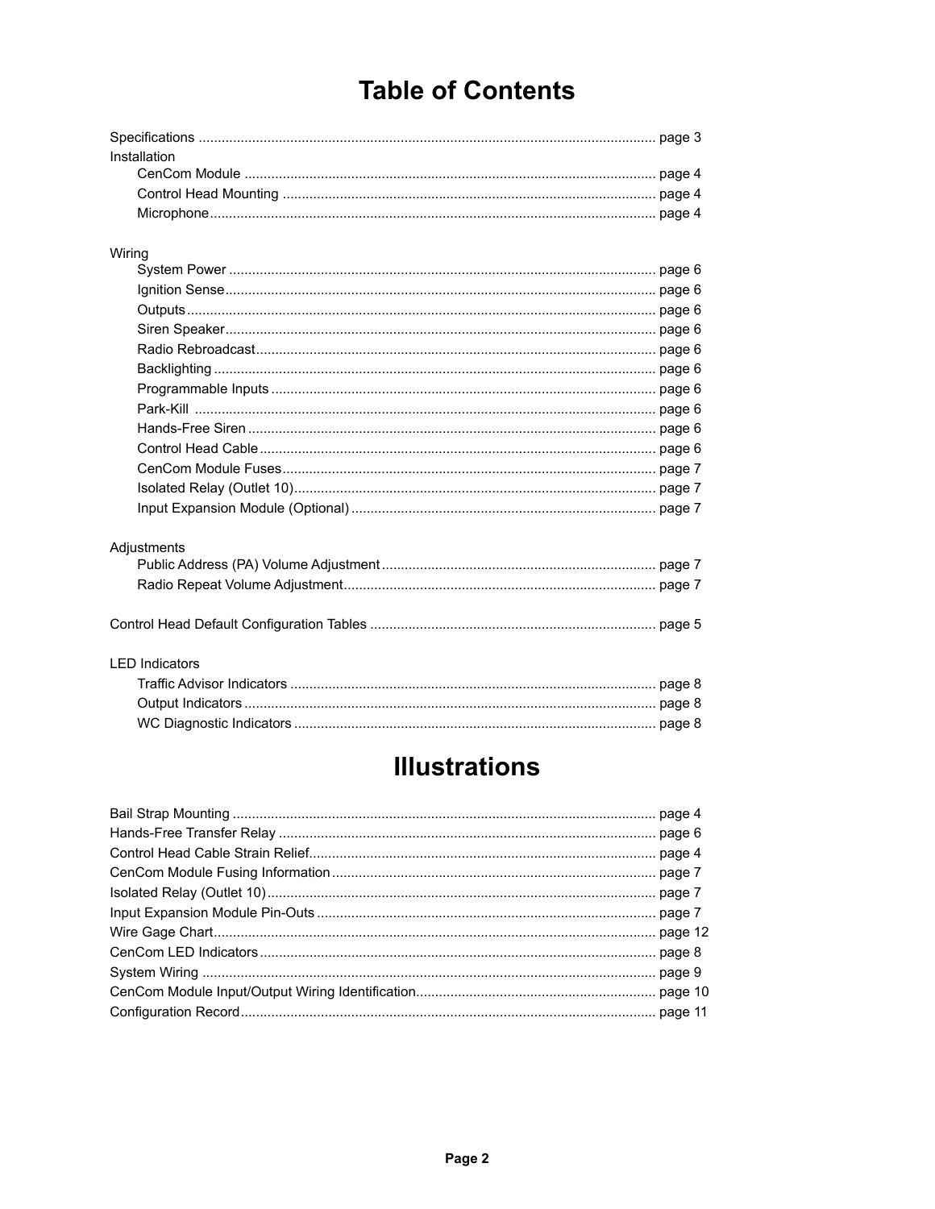# **Table of Contents**

| Installation |  |
|--------------|--|
|              |  |
|              |  |
|              |  |
|              |  |

### Wiring

| 11 I Y |  |
|--------|--|
|        |  |
|        |  |
|        |  |
|        |  |
|        |  |
|        |  |
|        |  |
|        |  |
|        |  |
|        |  |
|        |  |
|        |  |
|        |  |
|        |  |

### Adjustments

### **LED Indicators**

# **Illustrations**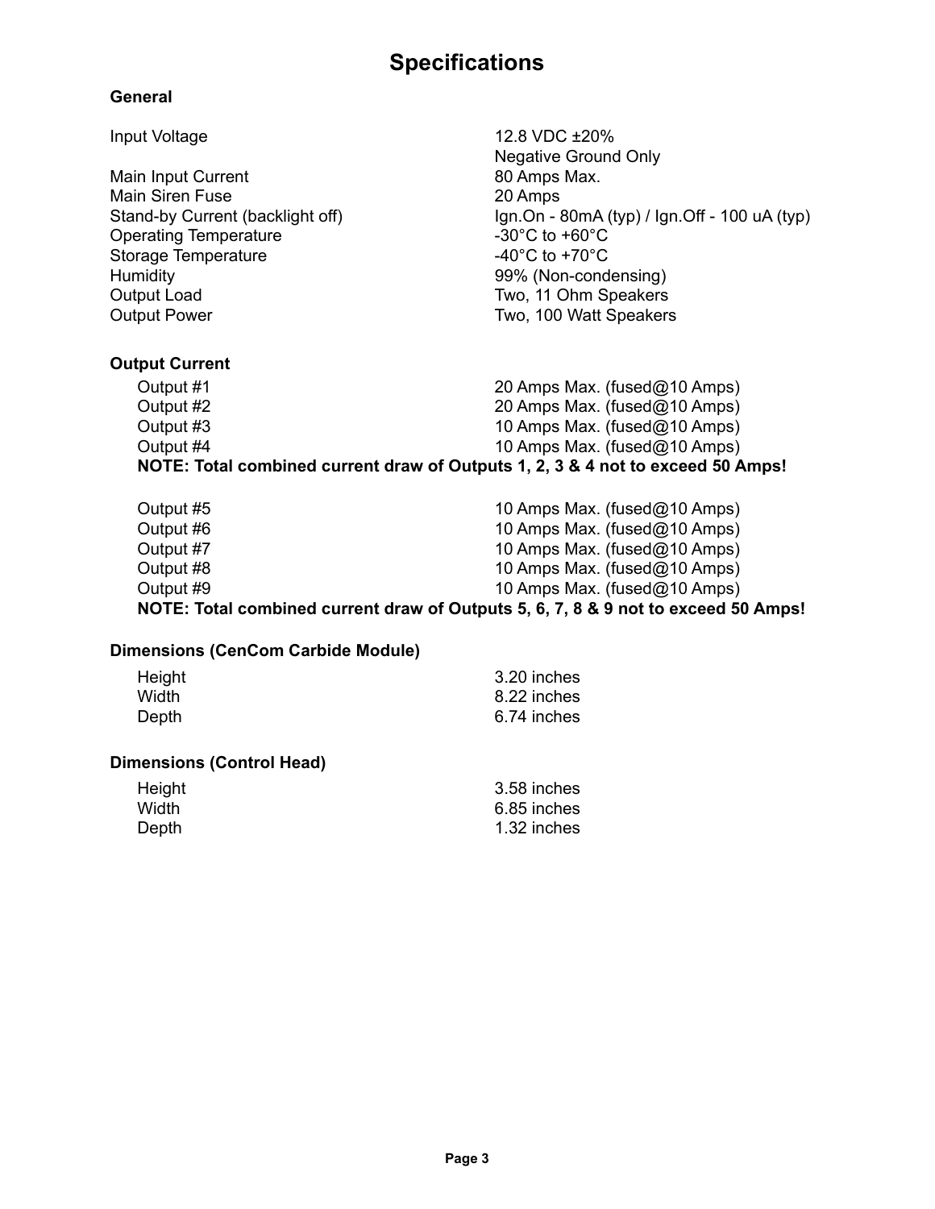# **Specifications**

### <span id="page-2-0"></span>**General**

Input Voltage 12.8 VDC  $\pm 20\%$ Negative Ground Only Main Input Current **80 Amps Max.** Main Siren Fuse 20 Amps Stand-by Current (backlight off) Ign.On - 80mA (typ) / Ign.Off - 100 uA (typ) Operating Temperature  $-30^{\circ}$ C to +60<sup>°</sup>C Storage Temperature  $-40^{\circ}$ C to +70°C Humidity 99% (Non-condensing) Output Load **Two, 11 Ohm Speakers** Output Power **TWO, 100 Watt Speakers** 

# **Output Current**

Output #1 20 Amps Max. (fused@10 Amps) Output #2 20 Amps Max. (fused@10 Amps) Output #3 10 Amps Max. (fused@10 Amps) Output #4 0 0 0 0 0 0 0 10 Amps Max. (fused@10 Amps) **NOTE: Total combined current draw of Outputs 1, 2, 3 & 4 not to exceed 50 Amps!**

|           | NOTE: Total combined current draw of Outputs 5, 6, 7, 8 & 9 not to exceed 50 Amps! |
|-----------|------------------------------------------------------------------------------------|
| Output #9 | 10 Amps Max. (fused $@10$ Amps)                                                    |
| Output #8 | 10 Amps Max. (fused $@10$ Amps)                                                    |
| Output #7 | 10 Amps Max. (fused@10 Amps)                                                       |
| Output #6 | 10 Amps Max. (fused $@10$ Amps)                                                    |
| Output #5 | 10 Amps Max. (fused $@10$ Amps)                                                    |
|           |                                                                                    |

### **Dimensions (CenCom Carbide Module)**

| Height | 3.20 inches |
|--------|-------------|
| Width  | 8.22 inches |
| Depth  | 6.74 inches |

### **Dimensions (Control Head)**

| Height | 3.58 inches |
|--------|-------------|
| Width  | 6.85 inches |
| Depth  | 1.32 inches |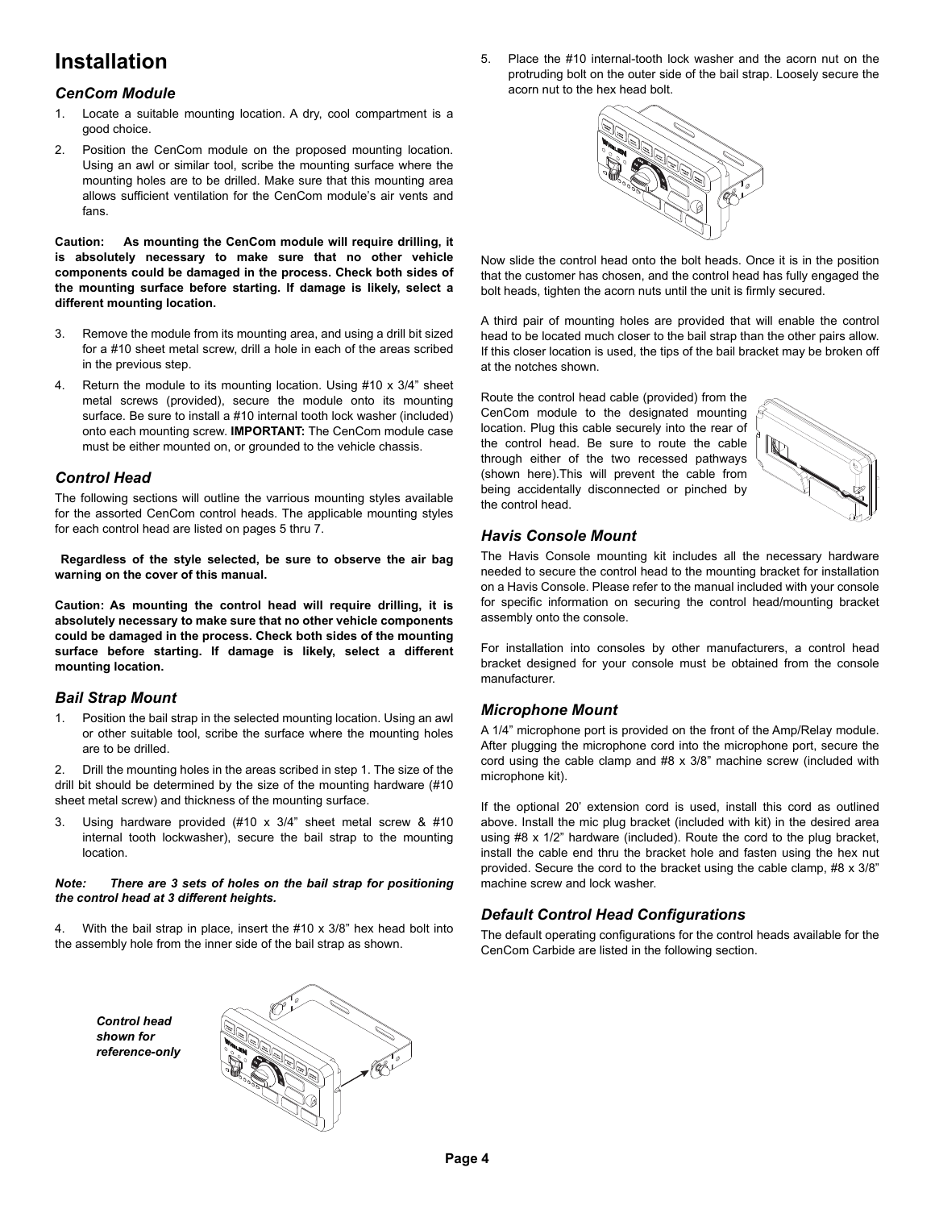# **Installation**

### <span id="page-3-0"></span>*CenCom Module*

- 1. Locate a suitable mounting location. A dry, cool compartment is a good choice.
- 2. Position the CenCom module on the proposed mounting location. Using an awl or similar tool, scribe the mounting surface where the mounting holes are to be drilled. Make sure that this mounting area allows sufficient ventilation for the CenCom module's air vents and fans.

**Caution: As mounting the CenCom module will require drilling, it is absolutely necessary to make sure that no other vehicle components could be damaged in the process. Check both sides of the mounting surface before starting. If damage is likely, select a different mounting location.**

- 3. Remove the module from its mounting area, and using a drill bit sized for a #10 sheet metal screw, drill a hole in each of the areas scribed in the previous step.
- 4. Return the module to its mounting location. Using #10 x 3/4" sheet metal screws (provided), secure the module onto its mounting surface. Be sure to install a #10 internal tooth lock washer (included) onto each mounting screw. **IMPORTANT:** The CenCom module case must be either mounted on, or grounded to the vehicle chassis.

### *Control Head*

The following sections will outline the varrious mounting styles available for the assorted CenCom control heads. The applicable mounting styles for each control head are listed on pages 5 thru 7.

**Regardless of the style selected, be sure to observe the air bag warning on the cover of this manual.**

**Caution: As mounting the control head will require drilling, it is absolutely necessary to make sure that no other vehicle components could be damaged in the process. Check both sides of the mounting surface before starting. If damage is likely, select a different mounting location.**

### <span id="page-3-1"></span>*Bail Strap Mount*

1. Position the bail strap in the selected mounting location. Using an awl or other suitable tool, scribe the surface where the mounting holes are to be drilled.

2. Drill the mounting holes in the areas scribed in step 1. The size of the drill bit should be determined by the size of the mounting hardware (#10 sheet metal screw) and thickness of the mounting surface.

3. Using hardware provided (#10 x 3/4" sheet metal screw & #10 internal tooth lockwasher), secure the bail strap to the mounting location.

### *Note: There are 3 sets of holes on the bail strap for positioning the control head at 3 different heights.*

4. With the bail strap in place, insert the #10 x 3/8" hex head bolt into the assembly hole from the inner side of the bail strap as shown.

5. Place the #10 internal-tooth lock washer and the acorn nut on the protruding bolt on the outer side of the bail strap. Loosely secure the acorn nut to the hex head bolt.



Now slide the control head onto the bolt heads. Once it is in the position that the customer has chosen, and the control head has fully engaged the bolt heads, tighten the acorn nuts until the unit is firmly secured.

A third pair of mounting holes are provided that will enable the control head to be located much closer to the bail strap than the other pairs allow. If this closer location is used, the tips of the bail bracket may be broken off at the notches shown.

Route the control head cable (provided) from the CenCom module to the designated mounting location. Plug this cable securely into the rear of the control head. Be sure to route the cable through either of the two recessed pathways (shown here).This will prevent the cable from being accidentally disconnected or pinched by the control head.

<span id="page-3-4"></span>

### *Havis Console Mount*

The Havis Console mounting kit includes all the necessary hardware needed to secure the control head to the mounting bracket for installation on a Havis Console. Please refer to the manual included with your console for specific information on securing the control head/mounting bracket assembly onto the console.

For installation into consoles by other manufacturers, a control head bracket designed for your console must be obtained from the console manufacturer.

### <span id="page-3-2"></span>*Microphone Mount*

A 1/4" microphone port is provided on the front of the Amp/Relay module. After plugging the microphone cord into the microphone port, secure the cord using the cable clamp and #8 x 3/8" machine screw (included with microphone kit).

If the optional 20' extension cord is used, install this cord as outlined above. Install the mic plug bracket (included with kit) in the desired area using #8 x 1/2" hardware (included). Route the cord to the plug bracket, install the cable end thru the bracket hole and fasten using the hex nut provided. Secure the cord to the bracket using the cable clamp, #8 x 3/8" machine screw and lock washer.

### *Default Control Head Configurations*

The default operating configurations for the control heads available for the CenCom Carbide are listed in the following section.

*Control head shown for reference-only*

<span id="page-3-3"></span>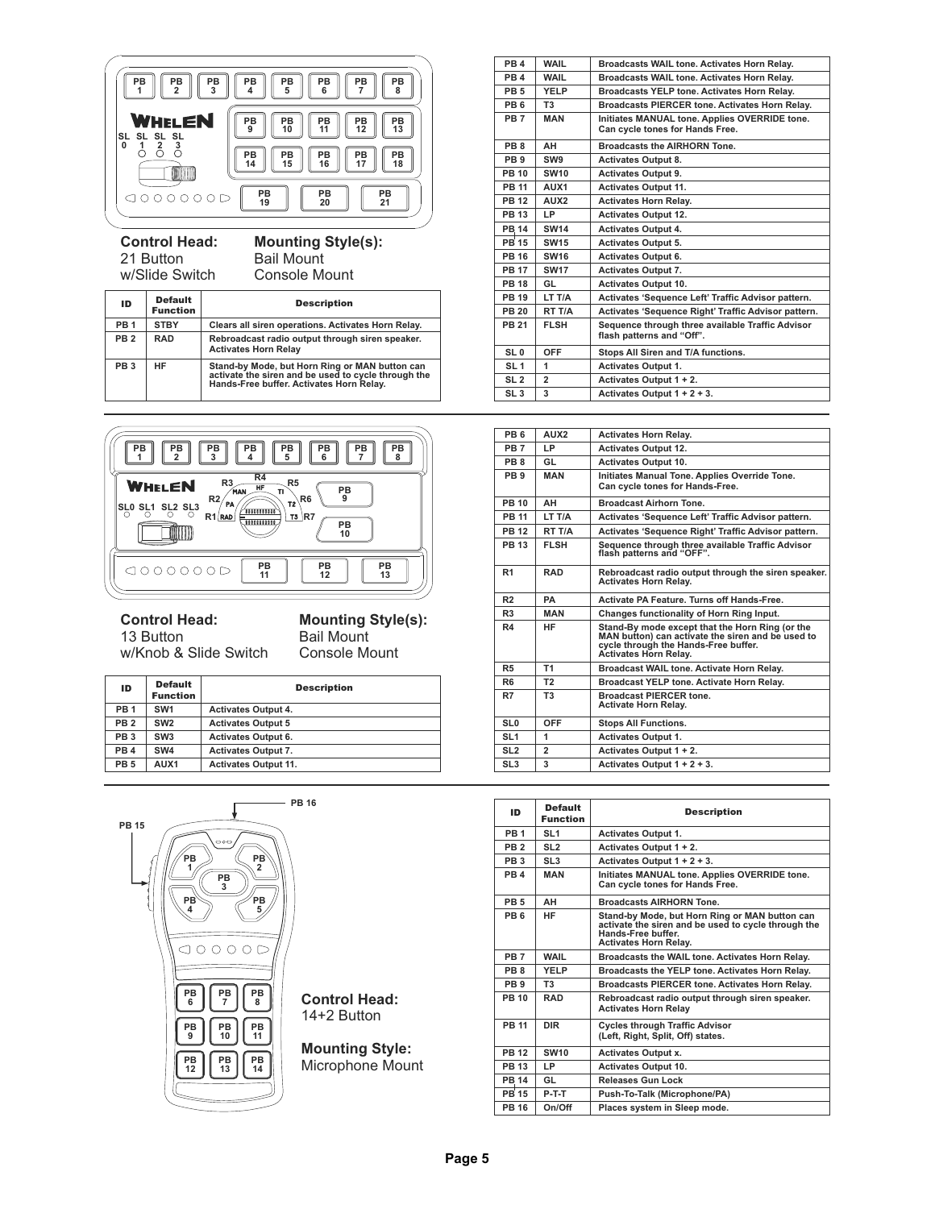<span id="page-4-0"></span>

**Control Head:** w/ Slide Switch 21 Button

Bail Mount Console Mount **Mounting Style(s):**

| ID              | <b>Default</b><br><b>Function</b> | <b>Description</b>                                                                                                                                |  |  |
|-----------------|-----------------------------------|---------------------------------------------------------------------------------------------------------------------------------------------------|--|--|
| PB <sub>1</sub> | <b>STBY</b>                       | Clears all siren operations. Activates Horn Relay.                                                                                                |  |  |
| PB <sub>2</sub> | <b>RAD</b>                        | Rebroadcast radio output through siren speaker.<br><b>Activates Horn Relav</b>                                                                    |  |  |
| PB <sub>3</sub> | HF                                | Stand-by Mode, but Horn Ring or MAN button can<br>activate the siren and be used to cycle through the<br>Hands-Free buffer. Activates Horn Relay. |  |  |



**Control Head:** 13 Button

**Mounting Style(s):** Bail Mount Console Mount

w/Knob & Slide Switch

ID Default Description **PB 1 PB 2 PB 3 PB 4 PB 5 Activates Output 5 Activates Output 6. Activates Output 7. Activates Output 11.** Default Function **SW1 SW2 SW3 SW4 AUX1 Activates Output 4.**



### **Mounting Style:** Microphone Mount

| PR <sub>4</sub> | <b>WAII</b>      | Broadcasts WAIL tone. Activates Horn Relay.                                      |  |
|-----------------|------------------|----------------------------------------------------------------------------------|--|
| PR <sub>4</sub> | <b>WAII</b>      | <b>Broadcasts WAIL tone. Activates Horn Relay.</b>                               |  |
| <b>PR 5</b>     | YFI P            | Broadcasts YELP tone. Activates Horn Relay.                                      |  |
| PB <sub>6</sub> | T3               | <b>Broadcasts PIERCER tone, Activates Horn Relay.</b>                            |  |
| PB <sub>7</sub> | <b>MAN</b>       | Initiates MANUAL tone. Applies OVERRIDE tone.<br>Can cycle tones for Hands Free. |  |
| PB <sub>8</sub> | AH               | <b>Broadcasts the AIRHORN Tone.</b>                                              |  |
| PR <sub>9</sub> | SW <sub>9</sub>  | <b>Activates Output 8.</b>                                                       |  |
| <b>PB 10</b>    | <b>SW10</b>      | <b>Activates Output 9.</b>                                                       |  |
| <b>PB 11</b>    | AUX <sub>1</sub> | <b>Activates Output 11.</b>                                                      |  |
| <b>PB 12</b>    | AUX <sub>2</sub> | <b>Activates Horn Relay.</b>                                                     |  |
| <b>PR 13</b>    | IP.              | <b>Activates Output 12.</b>                                                      |  |
| <b>PB 14</b>    | SW <sub>14</sub> | <b>Activates Output 4.</b>                                                       |  |
| <b>PB 15</b>    | <b>SW15</b>      | <b>Activates Output 5.</b>                                                       |  |
| <b>PB 16</b>    | <b>SW16</b>      | Activates Output 6.                                                              |  |
| <b>PB 17</b>    | <b>SW17</b>      | <b>Activates Output 7.</b>                                                       |  |
| <b>PB 18</b>    | GI               | <b>Activates Output 10.</b>                                                      |  |
| <b>PB 19</b>    | LT T/A           | Activates 'Sequence Left' Traffic Advisor pattern.                               |  |
| <b>PB 20</b>    | RT T/A           | Activates 'Sequence Right' Traffic Advisor pattern.                              |  |
| <b>PB 21</b>    | <b>FLSH</b>      | Sequence through three available Traffic Advisor<br>flash patterns and "Off".    |  |
| SL <sub>0</sub> | <b>OFF</b>       | Stops All Siren and T/A functions.                                               |  |
| SL <sub>1</sub> | 1                | <b>Activates Output 1.</b>                                                       |  |
| SL <sub>2</sub> | $\overline{2}$   | Activates Output 1 + 2.                                                          |  |
| SL <sub>3</sub> | 3                | Activates Output $1 + 2 + 3$ .                                                   |  |
|                 |                  |                                                                                  |  |

| PR <sub>6</sub> | AUX <sub>2</sub> | <b>Activates Horn Relay.</b>                                                                                                                                                 |  |
|-----------------|------------------|------------------------------------------------------------------------------------------------------------------------------------------------------------------------------|--|
| PB <sub>7</sub> | LP               | <b>Activates Output 12.</b>                                                                                                                                                  |  |
| PR 8            | GI               | <b>Activates Output 10.</b>                                                                                                                                                  |  |
| PB <sub>9</sub> | <b>MAN</b>       | Initiates Manual Tone. Applies Override Tone.<br>Can cycle tones for Hands-Free.                                                                                             |  |
| <b>PB 10</b>    | AH               | <b>Broadcast Airhorn Tone.</b>                                                                                                                                               |  |
| <b>PR 11</b>    | I T T/A          | Activates 'Sequence Left' Traffic Advisor pattern.                                                                                                                           |  |
| <b>PR 12</b>    | RT T/A           | Activates 'Sequence Right' Traffic Advisor pattern.                                                                                                                          |  |
| <b>PR 13</b>    | FI SH            | Sequence through three available Traffic Advisor<br>flash patterns and "OFF".                                                                                                |  |
| R <sub>1</sub>  | <b>RAD</b>       | Rebroadcast radio output through the siren speaker.<br><b>Activates Horn Relay.</b>                                                                                          |  |
| R <sub>2</sub>  | PA               | Activate PA Feature, Turns off Hands-Free.                                                                                                                                   |  |
| R3              | <b>MAN</b>       | Changes functionality of Horn Ring Input.                                                                                                                                    |  |
| R4              | <b>HF</b>        | Stand-By mode except that the Horn Ring (or the<br>MAN button) can activate the siren and be used to<br>cycle through the Hands-Free buffer.<br><b>Activates Horn Relay.</b> |  |
| <b>R5</b>       | T <sub>1</sub>   | Broadcast WAIL tone. Activate Horn Relay.                                                                                                                                    |  |
| R <sub>6</sub>  | T <sub>2</sub>   | Broadcast YELP tone. Activate Horn Relay.                                                                                                                                    |  |
| R7              | T3               | <b>Broadcast PIERCER tone.</b><br><b>Activate Horn Relay.</b>                                                                                                                |  |
| SL <sub>0</sub> | OFF              | <b>Stops All Functions.</b>                                                                                                                                                  |  |
| SL <sub>1</sub> | 1                | <b>Activates Output 1.</b>                                                                                                                                                   |  |
| SI <sub>2</sub> | $\overline{2}$   | Activates Output 1 + 2.                                                                                                                                                      |  |
| SL <sub>3</sub> | 3                | Activates Output 1 + 2 + 3.                                                                                                                                                  |  |
|                 |                  |                                                                                                                                                                              |  |

|                                  | <b>PB 16</b>                        | ID              | <b>Default</b><br><b>Function</b> | <b>Description</b>                                                                                                                                          |
|----------------------------------|-------------------------------------|-----------------|-----------------------------------|-------------------------------------------------------------------------------------------------------------------------------------------------------------|
|                                  |                                     | PB <sub>1</sub> | SL <sub>1</sub>                   | <b>Activates Output 1.</b>                                                                                                                                  |
| 000.                             |                                     | PB <sub>2</sub> | SL <sub>2</sub>                   | Activates Output 1 + 2.                                                                                                                                     |
| PВ<br>PB                         |                                     | PB <sub>3</sub> | SL <sub>3</sub>                   | Activates Output 1 + 2 + 3.                                                                                                                                 |
| PB<br>3                          |                                     | PB <sub>4</sub> | <b>MAN</b>                        | Initiates MANUAL tone, Applies OVERRIDE tone.<br>Can cycle tones for Hands Free.                                                                            |
| PB<br>PB                         |                                     | PB <sub>5</sub> | AH                                | <b>Broadcasts AIRHORN Tone.</b>                                                                                                                             |
| $\bigcap$<br>റ റ<br>71<br>∩      |                                     | PB <sub>6</sub> | <b>HF</b>                         | Stand-by Mode, but Horn Ring or MAN button can<br>activate the siren and be used to cycle through the<br>Hands-Free buffer.<br><b>Activates Horn Relay.</b> |
|                                  |                                     | PB <sub>7</sub> | <b>WAIL</b>                       | Broadcasts the WAIL tone. Activates Horn Relay.                                                                                                             |
|                                  |                                     | PB <sub>8</sub> | <b>YELP</b>                       | Broadcasts the YELP tone. Activates Horn Relay.                                                                                                             |
|                                  |                                     | PB <sub>9</sub> | T <sub>3</sub>                    | <b>Broadcasts PIERCER tone. Activates Horn Relay.</b>                                                                                                       |
| PB<br>PB<br>PB<br>8<br>6         | <b>Control Head:</b><br>14+2 Button | <b>PB 10</b>    | <b>RAD</b>                        | Rebroadcast radio output through siren speaker.<br><b>Activates Horn Relav</b>                                                                              |
| PB<br>PB<br>PB<br>11<br>9<br>10  |                                     | <b>PB 11</b>    | <b>DIR</b>                        | <b>Cycles through Traffic Advisor</b><br>(Left, Right, Split, Off) states.                                                                                  |
|                                  | <b>Mounting Style:</b>              | <b>PB 12</b>    | <b>SW10</b>                       | <b>Activates Output x.</b>                                                                                                                                  |
| PB<br>PB<br>PB<br>14<br>12<br>13 | Microphone Mount                    | <b>PB 13</b>    | LP                                | Activates Output 10.                                                                                                                                        |
|                                  |                                     | <b>PB 14</b>    | GL                                | <b>Releases Gun Lock</b>                                                                                                                                    |
|                                  |                                     | <b>PB 15</b>    | $P-T-T$                           | Push-To-Talk (Microphone/PA)                                                                                                                                |
|                                  |                                     | <b>PB 16</b>    | On/Off                            | Places system in Sleep mode.                                                                                                                                |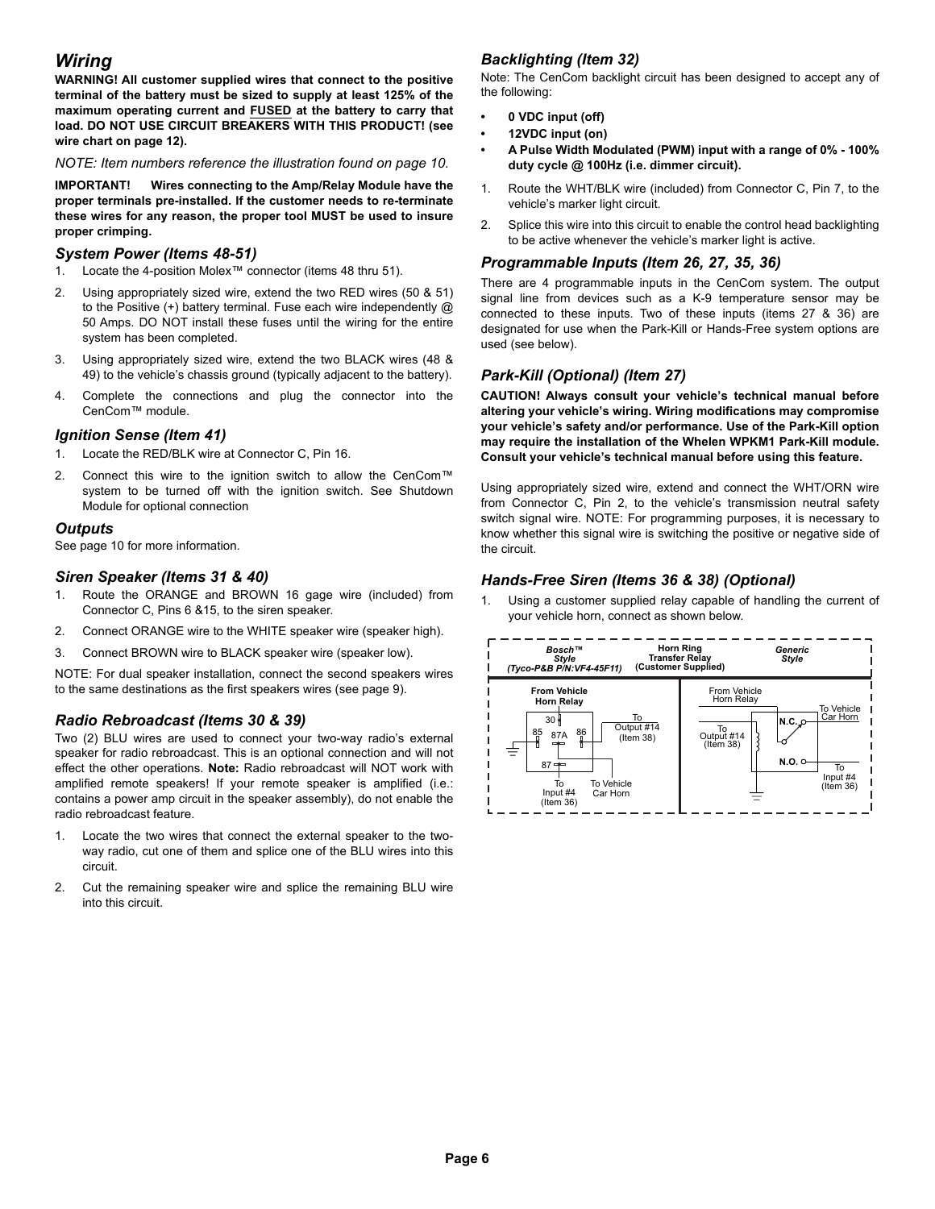## *Wiring*

**WARNING! All customer supplied wires that connect to the positive terminal of the battery must be sized to supply at least 125% of the maximum operating current and FUSED at the battery to carry that load. DO NOT USE CIRCUIT BREAKERS WITH THIS PRODUCT! (see wire chart on [page 12\)](#page-11-0).**

*NOTE: Item numbers reference the illustration found on [page 10.](#page-9-0)*

**IMPORTANT! Wires connecting to the Amp/Relay Module have the proper terminals pre-installed. If the customer needs to re-terminate these wires for any reason, the proper tool MUST be used to insure proper crimping.**

### <span id="page-5-0"></span>*System Power (Items 48-51)*

- 1. Locate the 4-position Molex™ connector (items 48 thru 51).
- 2. Using appropriately sized wire, extend the two RED wires (50 & 51) to the Positive (+) battery terminal. Fuse each wire independently @ 50 Amps. DO NOT install these fuses until the wiring for the entire system has been completed.
- 3. Using appropriately sized wire, extend the two BLACK wires (48 & 49) to the vehicle's chassis ground (typically adjacent to the battery).
- 4. Complete the connections and plug the connector into the CenCom™ module.

### <span id="page-5-1"></span>*Ignition Sense (Item 41)*

- 1. Locate the RED/BLK wire at Connector C, Pin 16.
- 2. Connect this wire to the ignition switch to allow the CenCom™ system to be turned off with the ignition switch. See Shutdown Module for optional connection

### <span id="page-5-9"></span>*Outputs*

See [page 10](#page-9-0) for more information.

### <span id="page-5-2"></span>*Siren Speaker (Items 31 & 40)*

- 1. Route the ORANGE and BROWN 16 gage wire (included) from Connector C, Pins 6 &15, to the siren speaker.
- 2. Connect ORANGE wire to the WHITE speaker wire (speaker high).
- 3. Connect BROWN wire to BLACK speaker wire (speaker low).

NOTE: For dual speaker installation, connect the second speakers wires to the same destinations as the first speakers wires (see [page 9\)](#page-8-0).

### <span id="page-5-3"></span>*Radio Rebroadcast (Items 30 & 39)*

Two (2) BLU wires are used to connect your two-way radio's external speaker for radio rebroadcast. This is an optional connection and will not effect the other operations. **Note:** Radio rebroadcast will NOT work with amplified remote speakers! If your remote speaker is amplified (i.e.: contains a power amp circuit in the speaker assembly), do not enable the radio rebroadcast feature.

- 1. Locate the two wires that connect the external speaker to the twoway radio, cut one of them and splice one of the BLU wires into this circuit.
- 2. Cut the remaining speaker wire and splice the remaining BLU wire into this circuit.

### *Backlighting (Item 32)*

Note: The CenCom backlight circuit has been designed to accept any of the following:

- **0 VDC input (off)**
- **12VDC input (on)**
- **A Pulse Width Modulated (PWM) input with a range of 0% 100% duty cycle @ 100Hz (i.e. dimmer circuit).**
- 1. Route the WHT/BLK wire (included) from Connector C, Pin 7, to the vehicle's marker light circuit.
- 2. Splice this wire into this circuit to enable the control head backlighting to be active whenever the vehicle's marker light is active.

### <span id="page-5-4"></span>*Programmable Inputs (Item 26, 27, 35, 36)*

There are 4 programmable inputs in the CenCom system. The output signal line from devices such as a K-9 temperature sensor may be connected to these inputs. Two of these inputs (items 27 & 36) are designated for use when the Park-Kill or Hands-Free system options are used (see below).

### <span id="page-5-5"></span>*Park-Kill (Optional) (Item 27)*

**CAUTION! Always consult your vehicle's technical manual before altering your vehicle's wiring. Wiring modifications may compromise your vehicle's safety and/or performance. Use of the Park-Kill option may require the installation of the Whelen WPKM1 Park-Kill module. Consult your vehicle's technical manual before using this feature.**

Using appropriately sized wire, extend and connect the WHT/ORN wire from Connector C, Pin 2, to the vehicle's transmission neutral safety switch signal wire. NOTE: For programming purposes, it is necessary to know whether this signal wire is switching the positive or negative side of the circuit.

### <span id="page-5-6"></span>*Hands-Free Siren (Items 36 & 38) (Optional)*

1. Using a customer supplied relay capable of handling the current of your vehicle horn, connect as shown below.

<span id="page-5-8"></span><span id="page-5-7"></span>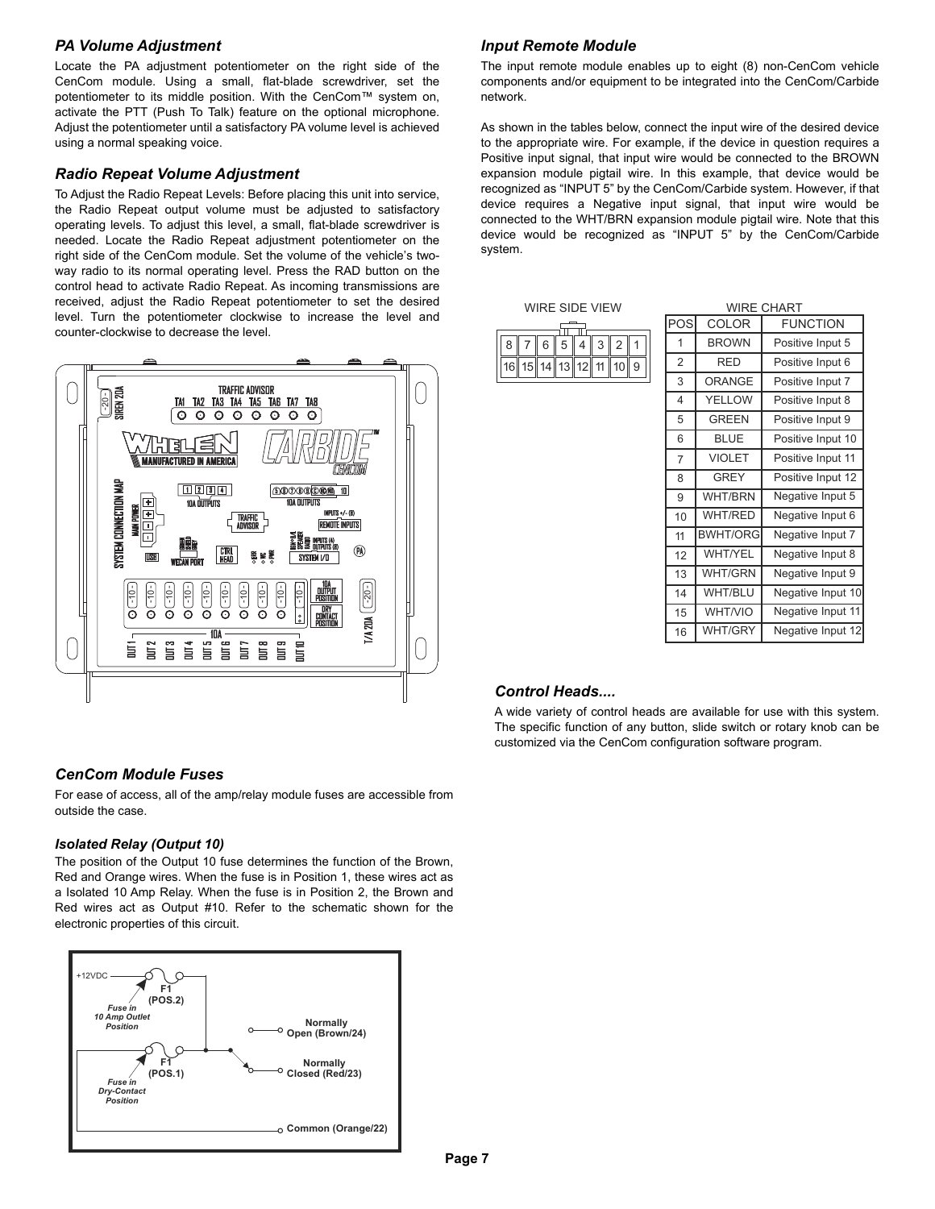### <span id="page-6-1"></span>*PA Volume Adjustment*

Locate the PA adjustment potentiometer on the right side of the CenCom module. Using a small, flat-blade screwdriver, set the potentiometer to its middle position. With the CenCom™ system on, activate the PTT (Push To Talk) feature on the optional microphone. Adjust the potentiometer until a satisfactory PA volume level is achieved using a normal speaking voice.

### <span id="page-6-2"></span>*Radio Repeat Volume Adjustment*

To Adjust the Radio Repeat Levels: Before placing this unit into service, the Radio Repeat output volume must be adjusted to satisfactory operating levels. To adjust this level, a small, flat-blade screwdriver is needed. Locate the Radio Repeat adjustment potentiometer on the right side of the CenCom module. Set the volume of the vehicle's twoway radio to its normal operating level. Press the RAD button on the control head to activate Radio Repeat. As incoming transmissions are received, adjust the Radio Repeat potentiometer to set the desired level. Turn the potentiometer clockwise to increase the level and counter-clockwise to decrease the level.

<span id="page-6-3"></span>

## <span id="page-6-6"></span>*Input Remote Module*

The input remote module enables up to eight (8) non-CenCom vehicle components and/or equipment to be integrated into the CenCom/Carbide network.

As shown in the tables below, connect the input wire of the desired device to the appropriate wire. For example, if the device in question requires a Positive input signal, that input wire would be connected to the BROWN expansion module pigtail wire. In this example, that device would be recognized as "INPUT 5" by the CenCom/Carbide system. However, if that device requires a Negative input signal, that input wire would be connected to the WHT/BRN expansion module pigtail wire. Note that this device would be recognized as "INPUT 5" by the CenCom/Carbide system.

<span id="page-6-7"></span>

| <b>WIRE SIDE VIEW</b> |    |   |             |   |   |    |   |  | W              |                  |  |
|-----------------------|----|---|-------------|---|---|----|---|--|----------------|------------------|--|
|                       |    |   |             |   |   |    |   |  | POS            | COLC             |  |
| 8                     |    | 6 | 5           | 4 | 3 | 2  | 1 |  | 1              | <b>BROV</b>      |  |
| 16                    | 15 |   | 14 13 12 11 |   |   | 10 | 9 |  | $\overline{2}$ | <b>RED</b>       |  |
|                       |    |   |             |   |   |    |   |  | 3              | <b>ORAN</b>      |  |
|                       |    |   |             |   |   |    |   |  | $\overline{4}$ | YELLO            |  |
|                       |    |   |             |   |   |    |   |  | 5              | <b>GREE</b>      |  |
|                       |    |   |             |   |   |    |   |  | 6              | <b>BLU</b>       |  |
|                       |    |   |             |   |   |    |   |  | 7              | <b>VIOLE</b>     |  |
|                       |    |   |             |   |   |    |   |  | 8              | GRE <sup>®</sup> |  |
|                       |    |   |             |   |   |    |   |  | 9              | WHT/B            |  |
|                       |    |   |             |   |   |    |   |  | 10             | WHT/R            |  |
|                       |    |   |             |   |   |    |   |  |                |                  |  |

| <b>WIRE CHART</b> |                 |                   |  |  |  |  |  |  |  |  |
|-------------------|-----------------|-------------------|--|--|--|--|--|--|--|--|
| POS               | <b>COLOR</b>    | <b>FUNCTION</b>   |  |  |  |  |  |  |  |  |
| 1                 | <b>BROWN</b>    | Positive Input 5  |  |  |  |  |  |  |  |  |
| $\overline{2}$    | <b>RFD</b>      | Positive Input 6  |  |  |  |  |  |  |  |  |
| 3                 | ORANGE          | Positive Input 7  |  |  |  |  |  |  |  |  |
| 4                 | YELLOW          | Positive Input 8  |  |  |  |  |  |  |  |  |
| 5                 | <b>GREEN</b>    | Positive Input 9  |  |  |  |  |  |  |  |  |
| 6                 | <b>BLUE</b>     | Positive Input 10 |  |  |  |  |  |  |  |  |
| $\overline{7}$    | <b>VIOLET</b>   | Positive Input 11 |  |  |  |  |  |  |  |  |
| 8                 | <b>GREY</b>     | Positive Input 12 |  |  |  |  |  |  |  |  |
| 9                 | <b>WHT/BRN</b>  | Negative Input 5  |  |  |  |  |  |  |  |  |
| 10                | <b>WHT/RED</b>  | Negative Input 6  |  |  |  |  |  |  |  |  |
| 11                | <b>BWHT/ORG</b> | Negative Input 7  |  |  |  |  |  |  |  |  |
| 12                | <b>WHT/YEL</b>  | Negative Input 8  |  |  |  |  |  |  |  |  |
| 13                | <b>WHT/GRN</b>  | Negative Input 9  |  |  |  |  |  |  |  |  |
| 14                | WHT/BLU         | Negative Input 10 |  |  |  |  |  |  |  |  |
| 15                | WHT/VIO         | Negative Input 11 |  |  |  |  |  |  |  |  |
| 16                | <b>WHT/GRY</b>  | Negative Input 12 |  |  |  |  |  |  |  |  |

### *Control Heads....*

A wide variety of control heads are available for use with this system. The specific function of any button, slide switch or rotary knob can be customized via the CenCom configuration software program.

### <span id="page-6-5"></span>*CenCom Module Fuses*

For ease of access, all of the amp/relay module fuses are accessible from outside the case.

### <span id="page-6-0"></span>*Isolated Relay (Output 10)*

The position of the Output 10 fuse determines the function of the Brown, Red and Orange wires. When the fuse is in Position 1, these wires act as a Isolated 10 Amp Relay. When the fuse is in Position 2, the Brown and Red wires act as Output #10. Refer to the schematic shown for the electronic properties of this circuit.

<span id="page-6-4"></span>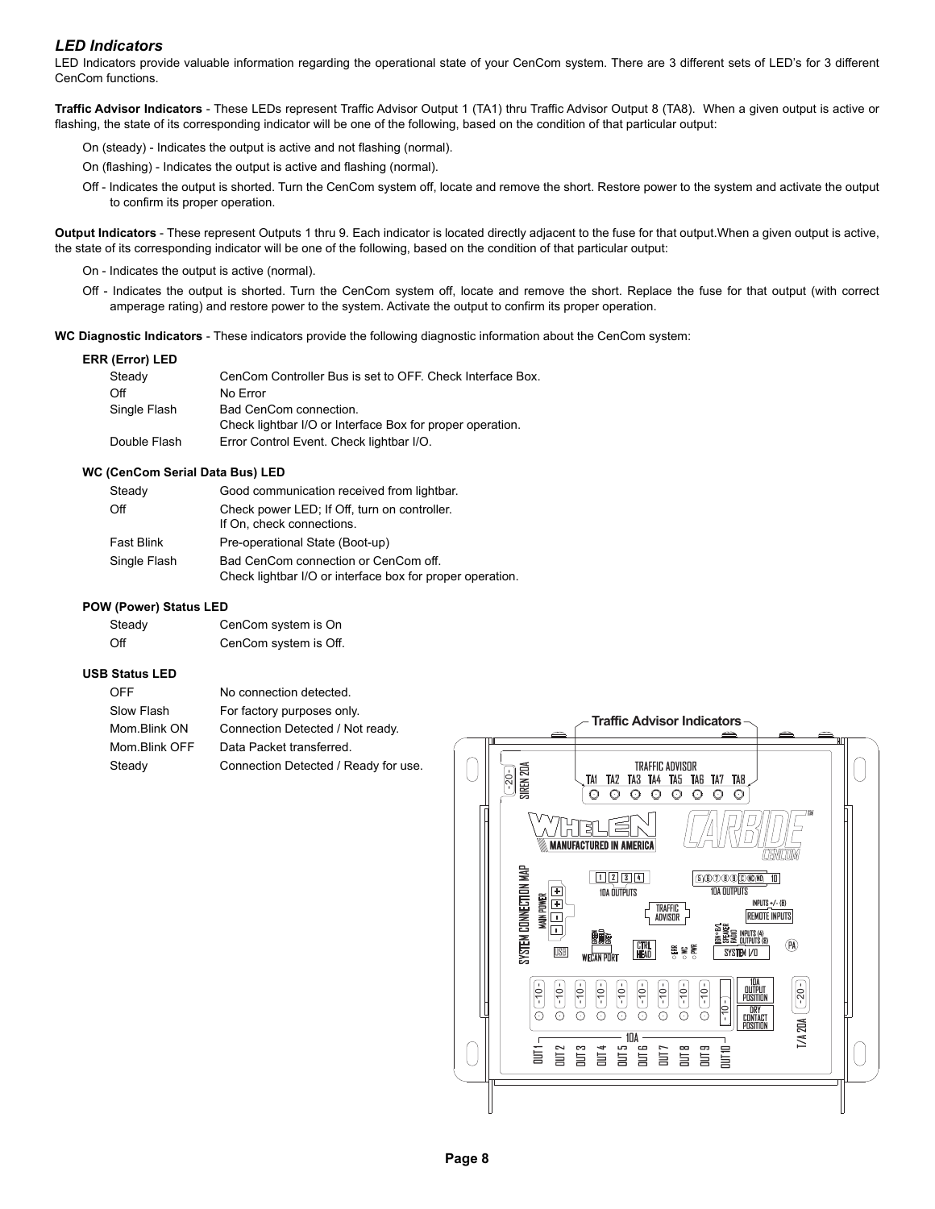### *LED Indicators*

LED Indicators provide valuable information regarding the operational state of your CenCom system. There are 3 different sets of LED's for 3 different CenCom functions.

<span id="page-7-0"></span>**Traffic Advisor Indicators** - These LEDs represent Traffic Advisor Output 1 (TA1) thru Traffic Advisor Output 8 (TA8). When a given output is active or flashing, the state of its corresponding indicator will be one of the following, based on the condition of that particular output:

- On (steady) Indicates the output is active and not flashing (normal).
- On (flashing) Indicates the output is active and flashing (normal).
- Off Indicates the output is shorted. Turn the CenCom system off, locate and remove the short. Restore power to the system and activate the output to confirm its proper operation.

<span id="page-7-1"></span>**Output Indicators** - These represent Outputs 1 thru 9. Each indicator is located directly adjacent to the fuse for that output.When a given output is active, the state of its corresponding indicator will be one of the following, based on the condition of that particular output:

- On Indicates the output is active (normal).
- Off Indicates the output is shorted. Turn the CenCom system off, locate and remove the short. Replace the fuse for that output (with correct amperage rating) and restore power to the system. Activate the output to confirm its proper operation.

<span id="page-7-2"></span>**WC Diagnostic Indicators** - These indicators provide the following diagnostic information about the CenCom system:

### **ERR (Error) LED**

| CenCom Controller Bus is set to OFF. Check Interface Box. |
|-----------------------------------------------------------|
| No Error                                                  |
| Bad CenCom connection.                                    |
| Check lightbar I/O or Interface Box for proper operation. |
| Error Control Event. Check lightbar I/O.                  |
|                                                           |

### **WC (CenCom Serial Data Bus) LED**

| Steady            | Good communication received from lightbar.                                                        |
|-------------------|---------------------------------------------------------------------------------------------------|
| Off               | Check power LED; If Off, turn on controller.<br>If On, check connections.                         |
| <b>Fast Blink</b> | Pre-operational State (Boot-up)                                                                   |
| Single Flash      | Bad CenCom connection or CenCom off.<br>Check lightbar I/O or interface box for proper operation. |

### **POW (Power) Status LED**

| Steady | CenCom system is On   |
|--------|-----------------------|
| Off    | CenCom system is Off. |

### **USB Status LED**

| OFF           | No connection detected.              |
|---------------|--------------------------------------|
| Slow Flash    | For factory purposes only.           |
| Mom.Blink ON  | Connection Detected / Not ready.     |
| Mom Blink OFF | Data Packet transferred.             |
| Steady        | Connection Detected / Ready for use. |

<span id="page-7-3"></span>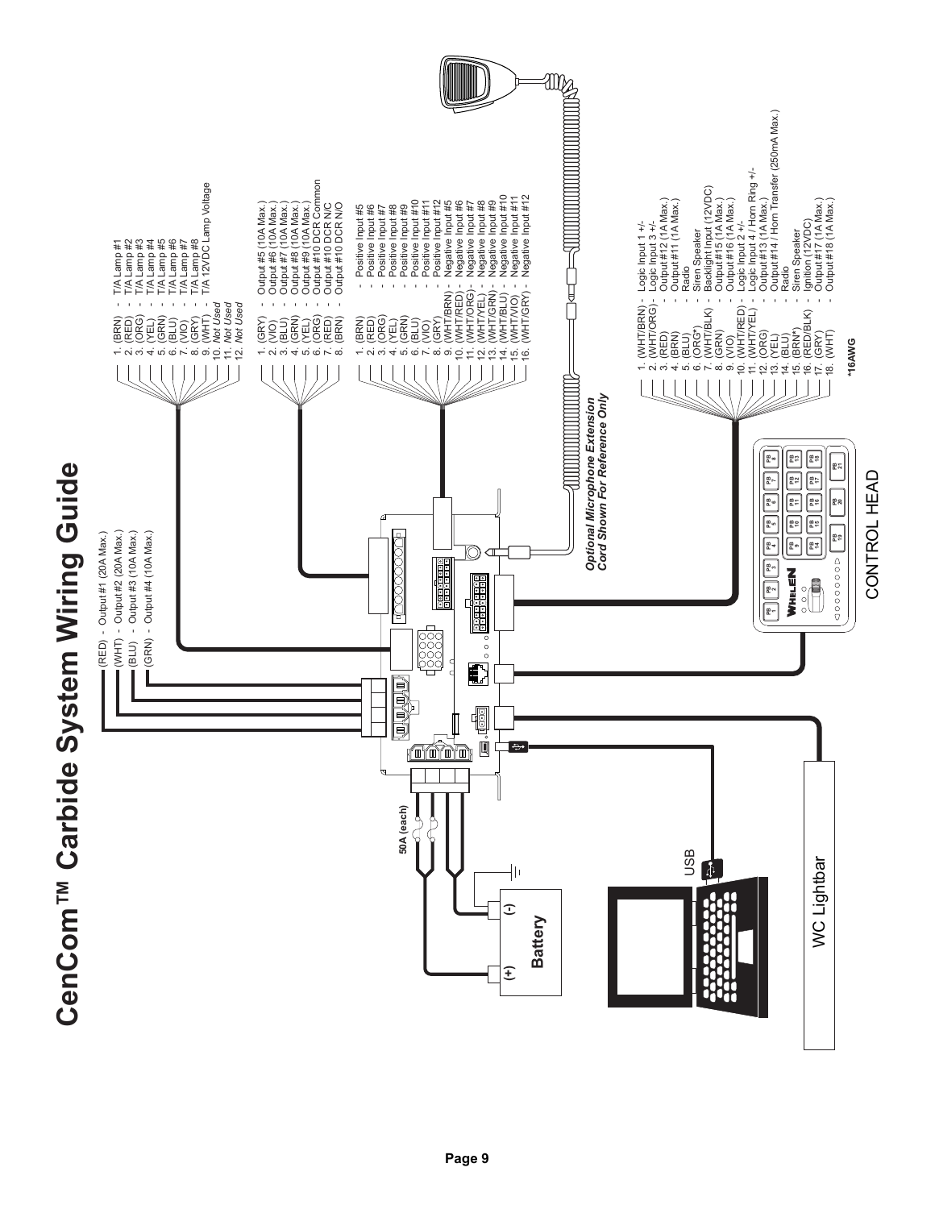<span id="page-8-0"></span>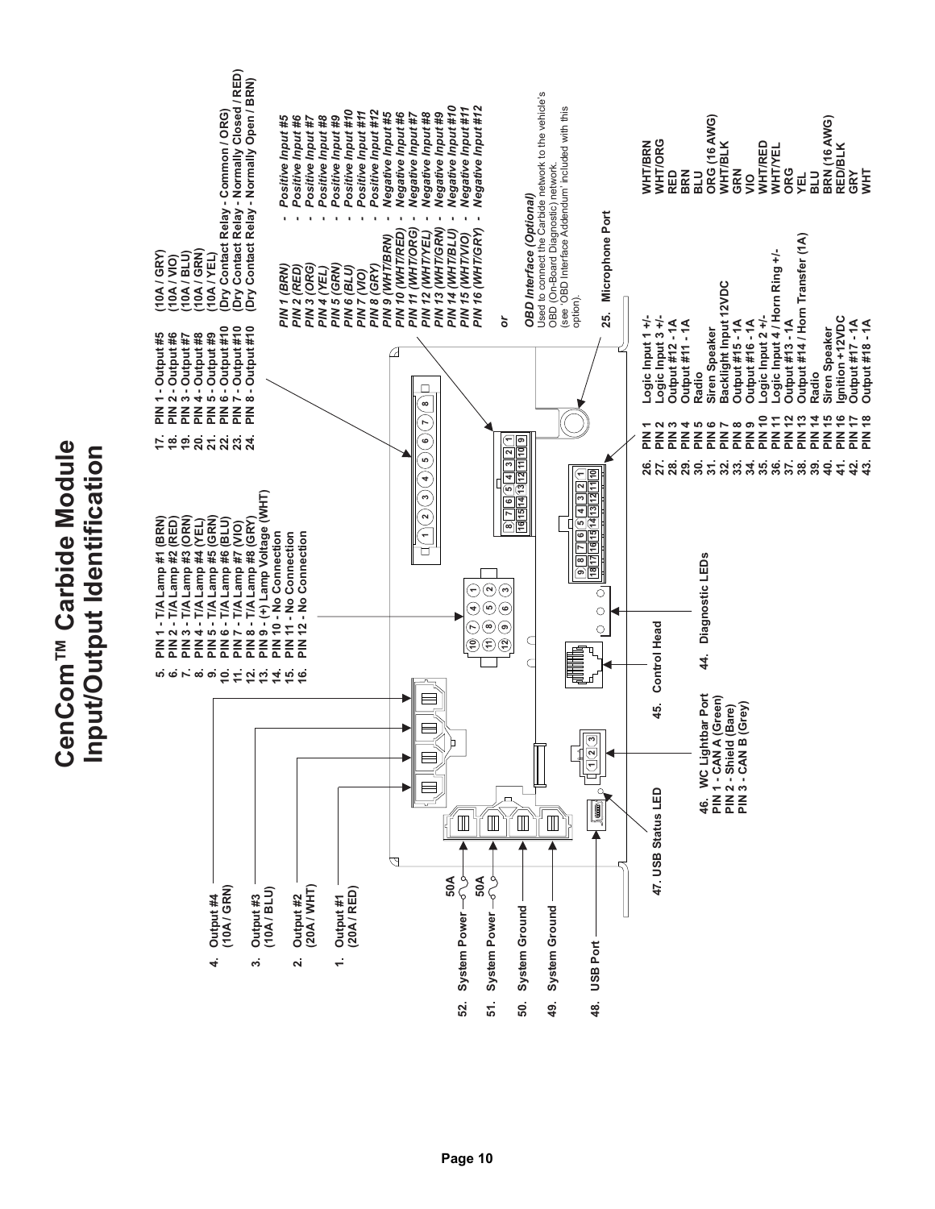|                       | п |
|-----------------------|---|
|                       | í |
|                       |   |
|                       |   |
|                       |   |
| ט<br>25<br>2<br>Phinh |   |
|                       |   |
|                       |   |
| งี<br>ว               |   |
| $\sum_{i=1}^{n}$      |   |
|                       |   |
| Ě                     | E |
|                       |   |
|                       |   |
| ì                     |   |
|                       |   |
| ゠                     |   |
|                       |   |
| $\mathbf{c}$          |   |

<span id="page-9-0"></span>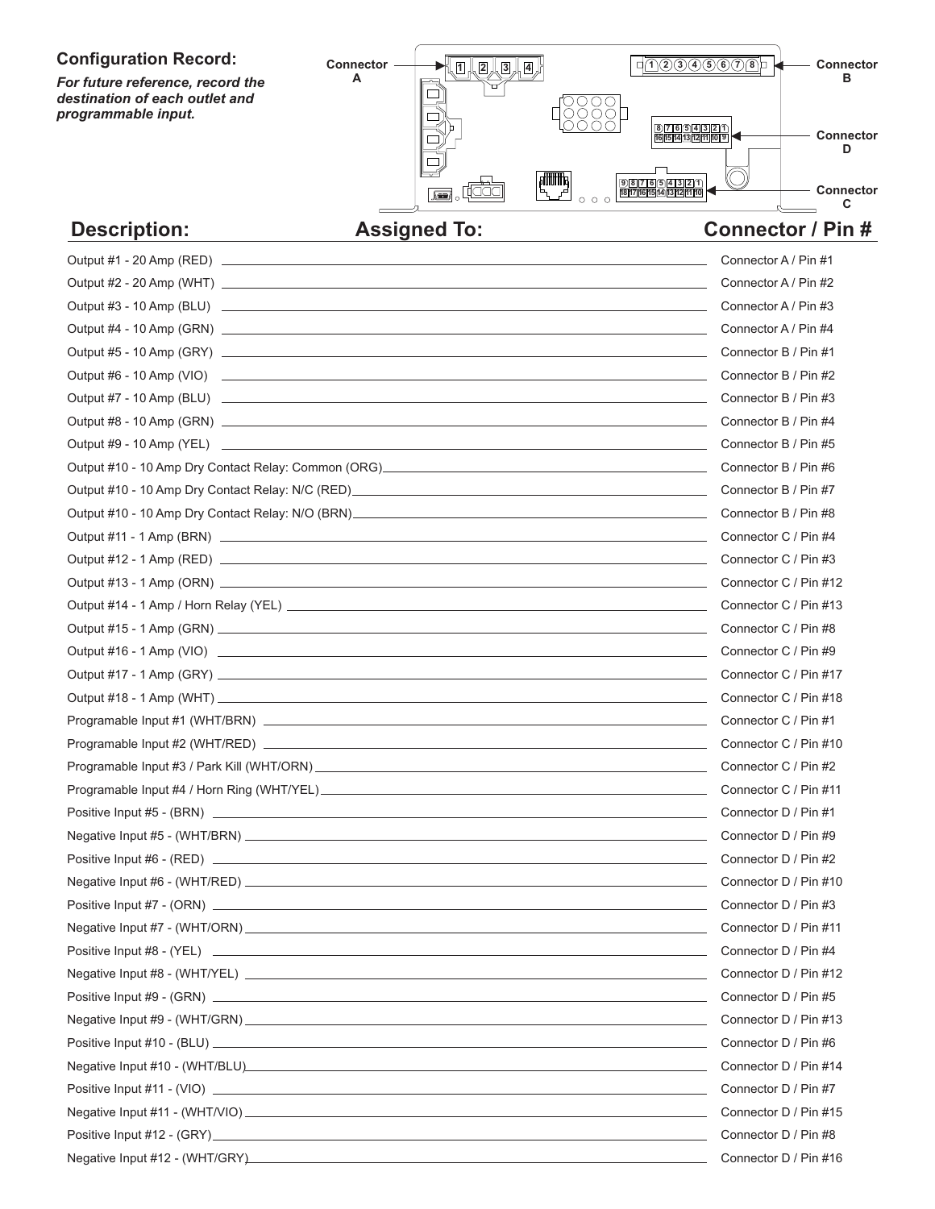

# <span id="page-10-0"></span>**Assigned To: Connector / Pin #**

| Connector A / Pin #1  |
|-----------------------|
| Connector A / Pin #2  |
| Connector A / Pin #3  |
| Connector A / Pin #4  |
| Connector B / Pin #1  |
| Connector B / Pin #2  |
| Connector B / Pin #3  |
| Connector B / Pin #4  |
| Connector B / Pin #5  |
| Connector B / Pin #6  |
| Connector B / Pin #7  |
| Connector B / Pin #8  |
| Connector C / Pin #4  |
| Connector C / Pin #3  |
| Connector C / Pin #12 |
| Connector C / Pin #13 |
| Connector C / Pin #8  |
| Connector C / Pin #9  |
| Connector C / Pin #17 |
| Connector C / Pin #18 |
| Connector C / Pin #1  |
| Connector C / Pin #10 |
| Connector C / Pin #2  |
| Connector C / Pin #11 |
| Connector D / Pin #1  |
| Connector D / Pin #9  |
| Connector D / Pin #2  |
| Connector D / Pin #10 |
| Connector D / Pin #3  |
| Connector D / Pin #11 |
| Connector D / Pin #4  |
| Connector D / Pin #12 |
| Connector D / Pin #5  |
| Connector D / Pin #13 |
| Connector D / Pin #6  |
| Connector D / Pin #14 |
| Connector D / Pin #7  |
| Connector D / Pin #15 |
| Connector D / Pin #8  |
| Connector D / Pin #16 |